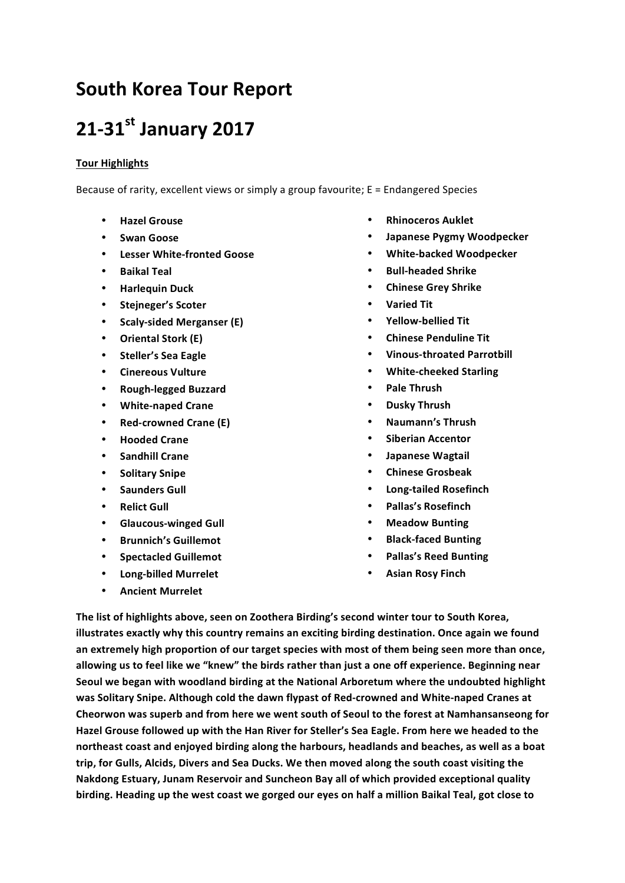# **South Korea Tour Report**

# **21031st January&2017**

## **Tour Highlights**

Because of rarity, excellent views or simply a group favourite; E = Endangered Species

- **Hazel Grouse**
- **Swan Goose**
- **•** Lesser White-fronted Goose
- **Baikal Teal**
- **Harlequin Duck**
- Stejneger's Scoter
- **Scaly-sided Merganser (E)**
- **Oriental Stork (E)**
- **Steller's Sea Eagle**
- **Cinereous&Vulture**
- **Rough-legged Buzzard**
- **White-naped Crane**
- **Red-crowned Crane (E)**
- **Hooded Crane**
- **Sandhill Crane**
- **Solitary Snipe**
- **Saunders Gull**
- **Relict Gull**
- **Glaucous-winged Gull**
- **Brunnich's Guillemot**
- **Spectacled Guillemot**
- **Long-billed Murrelet**
- **•** Ancient Murrelet
- **Rhinoceros&Auklet**
- **Japanese Pygmy Woodpecker**
- **White-backed Woodpecker**
- **Bull-headed Shrike**
- **Chinese Grey Shrike**
- **Varied Tit**
- **Yellow-bellied Tit**
- **Chinese Penduline Tit**
- **Vinous-throated Parrotbill**
- **White-cheeked Starling**
- **Pale&Thrush**
- **Dusky&Thrush**
- **Naumann's&Thrush**
- **Siberian Accentor**
- **Japanese&Wagtail**
- **Chinese&Grosbeak**
- **Long-tailed Rosefinch**
- **Pallas's Rosefinch**
- **Meadow Bunting**
- **Black-faced Bunting**
- **Pallas's Reed Bunting**
- **Asian Rosy Finch**

The list of highlights above, seen on Zoothera Birding's second winter tour to South Korea, illustrates exactly why this country remains an exciting birding destination. Once again we found an extremely high proportion of our target species with most of them being seen more than once, allowing us to feel like we "knew" the birds rather than just a one off experience. Beginning near Seoul we began with woodland birding at the National Arboretum where the undoubted highlight was Solitary Snipe. Although cold the dawn flypast of Red-crowned and White-naped Cranes at Cheorwon was superb and from here we went south of Seoul to the forest at Namhansanseong for Hazel Grouse followed up with the Han River for Steller's Sea Eagle. From here we headed to the northeast coast and enjoyed birding along the harbours, headlands and beaches, as well as a boat trip, for Gulls, Alcids, Divers and Sea Ducks. We then moved along the south coast visiting the **Nakdong Estuary, Junam Reservoir and Suncheon Bay all of which provided exceptional quality** birding. Heading up the west coast we gorged our eyes on half a million Baikal Teal, got close to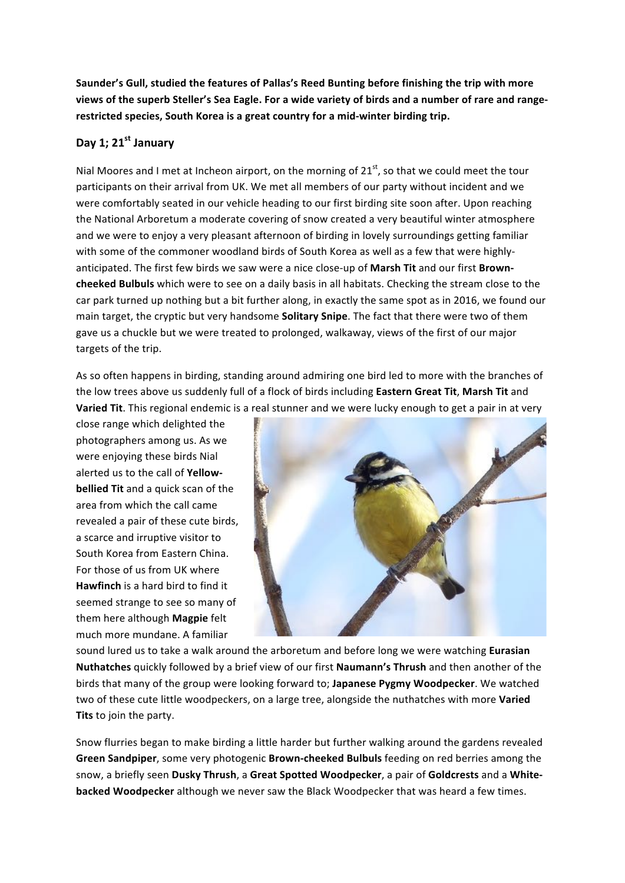Saunder's Gull, studied the features of Pallas's Reed Bunting before finishing the trip with more views of the superb Steller's Sea Eagle. For a wide variety of birds and a number of rare and rangerestricted species, South Korea is a great country for a mid-winter birding trip.

## Day 1; 21<sup>st</sup> January

Nial Moores and I met at Incheon airport, on the morning of  $21<sup>st</sup>$ , so that we could meet the tour participants on their arrival from UK. We met all members of our party without incident and we were comfortably seated in our vehicle heading to our first birding site soon after. Upon reaching the National Arboretum a moderate covering of snow created a very beautiful winter atmosphere and we were to enjoy a very pleasant afternoon of birding in lovely surroundings getting familiar with some of the commoner woodland birds of South Korea as well as a few that were highlyanticipated. The first few birds we saw were a nice close-up of Marsh Tit and our first Brown**cheeked Bulbuls** which were to see on a daily basis in all habitats. Checking the stream close to the car park turned up nothing but a bit further along, in exactly the same spot as in 2016, we found our main target, the cryptic but very handsome **Solitary Snipe**. The fact that there were two of them gave us a chuckle but we were treated to prolonged, walkaway, views of the first of our major targets of the trip.

As so often happens in birding, standing around admiring one bird led to more with the branches of the low trees above us suddenly full of a flock of birds including **Eastern Great Tit**, Marsh Tit and Varied Tit. This regional endemic is a real stunner and we were lucky enough to get a pair in at very

close range which delighted the photographers among us. As we were enjoying these birds Nial alerted us to the call of Yellow**bellied Tit** and a quick scan of the area from which the call came revealed a pair of these cute birds, a scarce and irruptive visitor to South Korea from Eastern China. For those of us from UK where **Hawfinch** is a hard bird to find it seemed strange to see so many of them'here'although'**Magpie** felt' much more mundane. A familiar



sound lured us to take a walk around the arboretum and before long we were watching **Eurasian Nuthatches** quickly followed by a brief view of our first Naumann's Thrush and then another of the birds that many of the group were looking forward to; Japanese Pygmy Woodpecker. We watched two of these cute little woodpeckers, on a large tree, alongside the nuthatches with more Varied Tits to join the party.

Snow flurries began to make birding a little harder but further walking around the gardens revealed **Green Sandpiper**, some very photogenic **Brown-cheeked Bulbuls** feeding on red berries among the snow, a briefly seen Dusky Thrush, a Great Spotted Woodpecker, a pair of Goldcrests and a White**backed Woodpecker** although we never saw the Black Woodpecker that was heard a few times.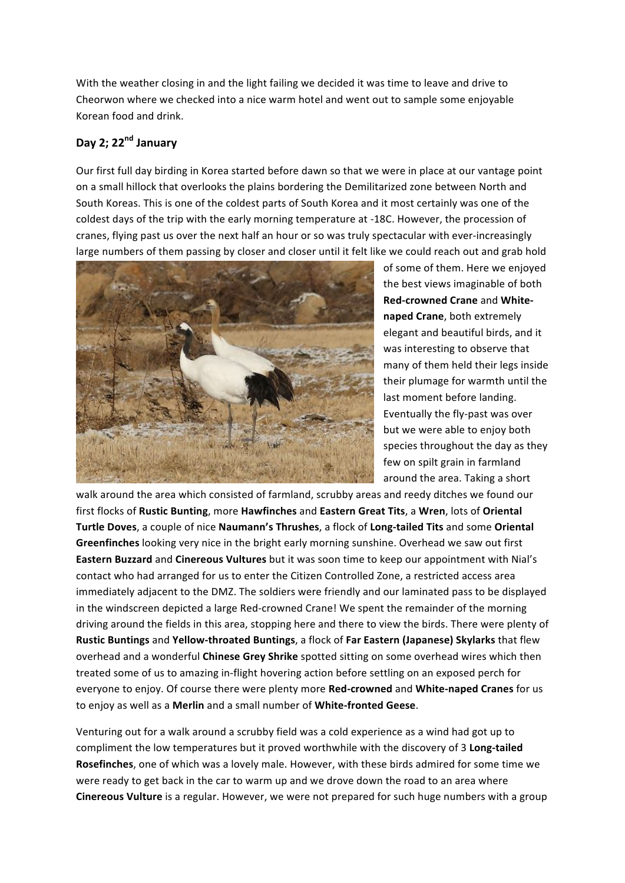With the weather closing in and the light failing we decided it was time to leave and drive to Cheorwon'where we checked into a nice warm hotel and went out to sample some enjoyable Korean'food'and'drink.

# **Day&2;&22nd January**

Our first full day birding in Korea started before dawn so that we were in place at our vantage point on a small hillock that overlooks the plains bordering the Demilitarized zone between North and South Koreas. This is one of the coldest parts of South Korea and it most certainly was one of the coldest days of the trip with the early morning temperature at -18C. However, the procession of cranes, flying past us over the next half an hour or so was truly spectacular with ever-increasingly large numbers of them passing by closer and closer until it felt like we could reach out and grab hold



of some of them. Here we enjoyed the best views imaginable of both **Red-crowned Crane and Whitenaped Crane**, both extremely elegant and beautiful birds, and it was interesting to observe that many of them held their legs inside their plumage for warmth until the last moment before landing. Eventually the fly-past was over but we were able to enjoy both species throughout the day as they few on spilt grain in farmland around the area. Taking a short

walk around the area which consisted of farmland, scrubby areas and reedy ditches we found our first'flocks'of'**Rustic&Bunting**,'more'**Hawfinches** and'**Eastern&Great&Tits**,'a'**Wren**,'lots'of'**Oriental&** Turtle Doves, a couple of nice Naumann's Thrushes, a flock of Long-tailed Tits and some Oriental Greenfinches looking very nice in the bright early morning sunshine. Overhead we saw out first **Eastern Buzzard** and **Cinereous Vultures** but it was soon time to keep our appointment with Nial's contact who had arranged for us to enter the Citizen Controlled Zone, a restricted access area immediately adjacent to the DMZ. The soldiers were friendly and our laminated pass to be displayed in the windscreen depicted a large Red-crowned Crane! We spent the remainder of the morning driving around the fields in this area, stopping here and there to view the birds. There were plenty of Rustic Buntings and Yellow-throated Buntings, a flock of Far Eastern (Japanese) Skylarks that flew overhead and a wonderful **Chinese Grey Shrike** spotted sitting on some overhead wires which then treated some of us to amazing in-flight hovering action before settling on an exposed perch for everyone to enjoy. Of course there were plenty more Red-crowned and White-naped Cranes for us to enjoy as well as a Merlin and a small number of White-fronted Geese.

Venturing out for a walk around a scrubby field was a cold experience as a wind had got up to compliment the low temperatures but it proved worthwhile with the discovery of 3 Long-tailed **Rosefinches**, one of which was a lovely male. However, with these birds admired for some time we were ready to get back in the car to warm up and we drove down the road to an area where Cinereous Vulture is a regular. However, we were not prepared for such huge numbers with a group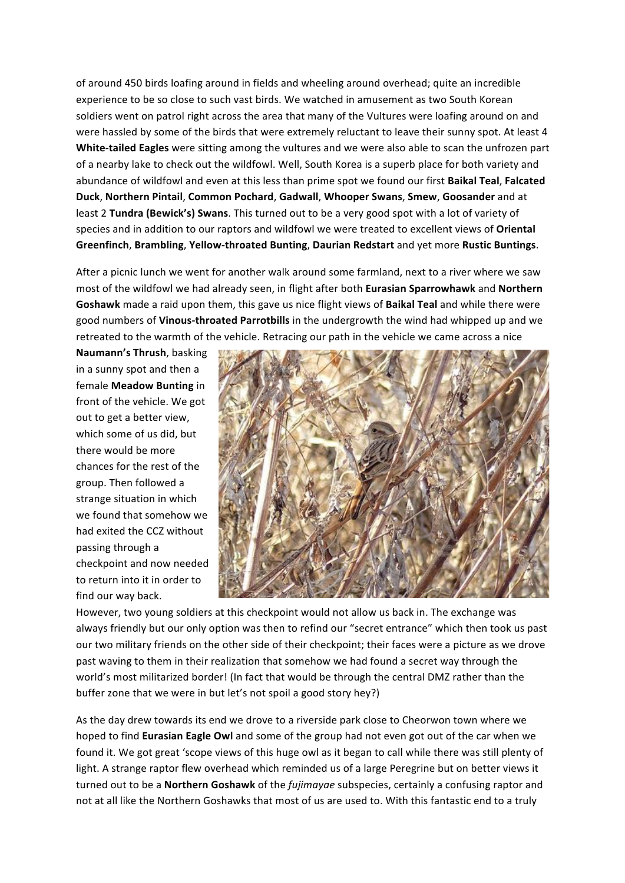of around 450 birds loafing around in fields and wheeling around overhead; quite an incredible experience to be so close to such vast birds. We watched in amusement as two South Korean soldiers went on patrol right across the area that many of the Vultures were loafing around on and were hassled by some of the birds that were extremely reluctant to leave their sunny spot. At least 4 White-tailed Eagles were sitting among the vultures and we were also able to scan the unfrozen part of a nearby lake to check out the wildfowl. Well, South Korea is a superb place for both variety and abundance of wildfowl and even at this less than prime spot we found our first Baikal Teal, Falcated **Duck**,'**Northern&Pintail**,'**Common&Pochard**,'**Gadwall**,'**Whooper&Swans**,'**Smew**,'**Goosander** and'at' least 2 Tundra (Bewick's) Swans. This turned out to be a very good spot with a lot of variety of species and in addition to our raptors and wildfowl we were treated to excellent views of Oriental **Greenfinch**,'**Brambling**,'**Yellow0throated&Bunting**,'**Daurian&Redstart** and'yet'more'**Rustic&Buntings**.

After a picnic lunch we went for another walk around some farmland, next to a river where we saw most of the wildfowl we had already seen, in flight after both **Eurasian Sparrowhawk** and **Northern** Goshawk made a raid upon them, this gave us nice flight views of **Baikal Teal** and while there were good numbers of **Vinous-throated Parrotbills** in the undergrowth the wind had whipped up and we retreated to the warmth of the vehicle. Retracing our path in the vehicle we came across a nice

Naumann's Thrush, basking in a sunny spot and then a female Meadow Bunting in front of the vehicle. We got out to get a better view, which some of us did, but there would be more chances for the rest of the group. Then followed a strange situation in which we found that somehow we had exited the CCZ without passing through a checkpoint and now needed to return into it in order to find our way back.



However, two young soldiers at this checkpoint would not allow us back in. The exchange was always' friendly but our only option was then to refind our "secret entrance" which then took us past our two military friends on the other side of their checkpoint; their faces were a picture as we drove past waving to them in their realization that somehow we had found a secret way through the world's most militarized border! (In fact that would be through the central DMZ rather than the buffer zone that we were in but let's not spoil a good story hey?)

As the day drew towards its end we drove to a riverside park close to Cheorwon town where we hoped to find **Eurasian Eagle Owl** and some of the group had not even got out of the car when we found it. We got great 'scope views of this huge owl as it began to call while there was still plenty of light. A strange raptor flew overhead which reminded us of a large Peregrine but on better views it turned out to be a **Northern Goshawk** of the *fujimayae* subspecies, certainly a confusing raptor and not at all like the Northern Goshawks that most of us are used to. With this fantastic end to a truly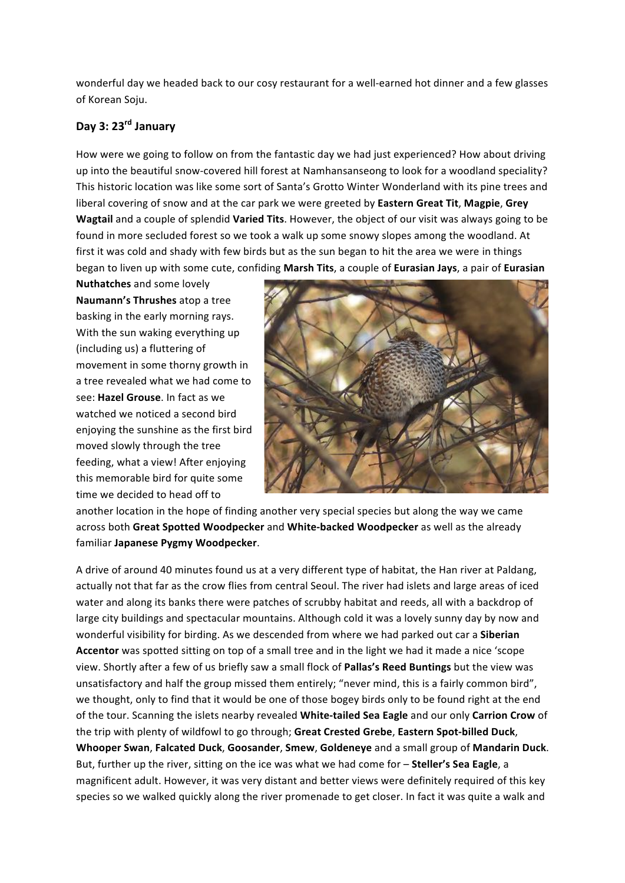wonderful day we headed back to our cosy restaurant for a well-earned hot dinner and a few glasses of Korean Soju.

# **Day&3:&23rd January**

How were we going to follow on from the fantastic day we had just experienced? How about driving up into the beautiful snow-covered hill forest at Namhansanseong to look for a woodland speciality? This historic location was like some sort of Santa's Grotto Winter Wonderland with its pine trees and liberal covering of snow and at the car park we were greeted by **Eastern Great Tit**, Magpie, Grey **Wagtail** and a couple of splendid **Varied Tits**. However, the object of our visit was always going to be found in more secluded forest so we took a walk up some snowy slopes among the woodland. At first it was cold and shady with few birds but as the sun began to hit the area we were in things began to liven up with some cute, confiding Marsh Tits, a couple of **Eurasian Jays**, a pair of **Eurasian** 

**Nuthatches** and some lovely **Naumann's Thrushes** atop a tree basking in the early morning rays. With the sun waking everything up (including us) a fluttering of movement in some thorny growth in a tree revealed what we had come to see: **Hazel Grouse**. In fact as we watched we noticed a second bird enjoying the sunshine as the first bird moved slowly through the tree feeding, what a view! After enjoying this memorable bird for quite some time we decided to head off to



another location in the hope of finding another very special species but along the way we came across both Great Spotted Woodpecker and White-backed Woodpecker as well as the already familiar Japanese Pygmy Woodpecker.

A drive of around 40 minutes found us at a very different type of habitat, the Han river at Paldang, actually not that far as the crow flies from central Seoul. The river had islets and large areas of iced water and along its banks there were patches of scrubby habitat and reeds, all with a backdrop of large city buildings and spectacular mountains. Although cold it was a lovely sunny day by now and wonderful visibility for birding. As we descended from where we had parked out car a **Siberian** Accentor was spotted sitting on top of a small tree and in the light we had it made a nice 'scope' view. Shortly after a few of us briefly saw a small flock of **Pallas's Reed Buntings** but the view was unsatisfactory and half the group missed them entirely; "never mind, this is a fairly common bird", we thought, only to find that it would be one of those bogey birds only to be found right at the end of the tour. Scanning the islets nearby revealed White-tailed Sea Eagle and our only Carrion Crow of the trip with plenty of wildfowl to go through; Great Crested Grebe, Eastern Spot-billed Duck, **Whooper&Swan**,'**Falcated&Duck**,'**Goosander**,'**Smew**,'**Goldeneye** and'a'small'group'of'**Mandarin&Duck**.' But, further up the river, sitting on the ice was what we had come for - **Steller's Sea Eagle**, a magnificent adult. However, it was very distant and better views were definitely required of this key species so we walked quickly along the river promenade to get closer. In fact it was quite a walk and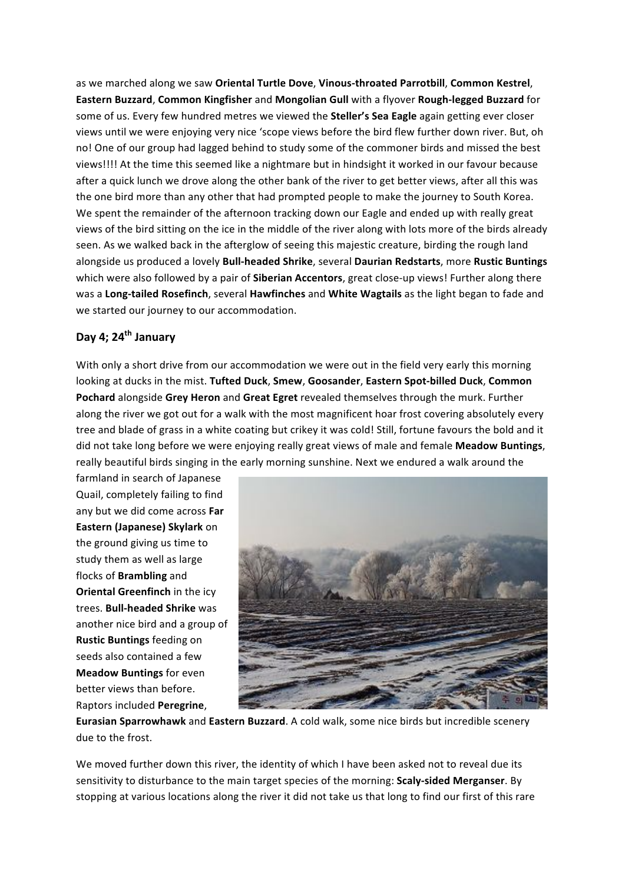as we marched along we saw Oriental Turtle Dove, Vinous-throated Parrotbill, Common Kestrel, **Eastern Buzzard, Common Kingfisher** and **Mongolian Gull** with a flyover Rough-legged Buzzard for some of us. Every few hundred metres we viewed the **Steller's Sea Eagle** again getting ever closer views until we were enjoying very nice 'scope views before the bird flew further down river. But, oh no! One of our group had lagged behind to study some of the commoner birds and missed the best views!!!! At the time this seemed like a nightmare but in hindsight it worked in our favour because after a quick lunch we drove along the other bank of the river to get better views, after all this was the one bird more than any other that had prompted people to make the journey to South Korea. We spent the remainder of the afternoon tracking down our Eagle and ended up with really great views of the bird sitting on the ice in the middle of the river along with lots more of the birds already seen. As we walked back in the afterglow of seeing this majestic creature, birding the rough land alongside'us'produced'a'lovely'**Bull0headed&Shrike**,'several'**Daurian&Redstarts**,'more'**Rustic&Buntings** which were also followed by a pair of **Siberian Accentors**, great close-up views! Further along there was a **Long-tailed Rosefinch**, several Hawfinches and White Wagtails as the light began to fade and we started our journey to our accommodation.

## **Day&4;&24th January**

With only a short drive from our accommodation we were out in the field very early this morning looking at ducks in the mist. Tufted Duck, Smew, Goosander, Eastern Spot-billed Duck, Common Pochard alongside Grey Heron and Great Egret revealed themselves through the murk. Further along the river we got out for a walk with the most magnificent hoar frost covering absolutely every tree and blade of grass in a white coating but crikey it was cold! Still, fortune favours the bold and it did not take long before we were enjoying really great views of male and female Meadow Buntings, really beautiful birds singing in the early morning sunshine. Next we endured a walk around the

farmland in search of Japanese Quail, completely failing to find any but we did come across Far **Eastern (Japanese) Skylark** on the ground giving us time to study them as well as large flocks'of'**Brambling** and' **Oriental Greenfinch** in the icy trees. **Bull-headed Shrike** was another nice bird and a group of **Rustic Buntings** feeding on seeds also contained a few **Meadow Buntings** for even better views than before. Raptors'included'**Peregrine**,'



**Eurasian Sparrowhawk** and **Eastern Buzzard**. A cold walk, some nice birds but incredible scenery due to the frost.

We moved further down this river, the identity of which I have been asked not to reveal due its sensitivity to disturbance to the main target species of the morning: **Scaly-sided Merganser**. By stopping at various locations along the river it did not take us that long to find our first of this rare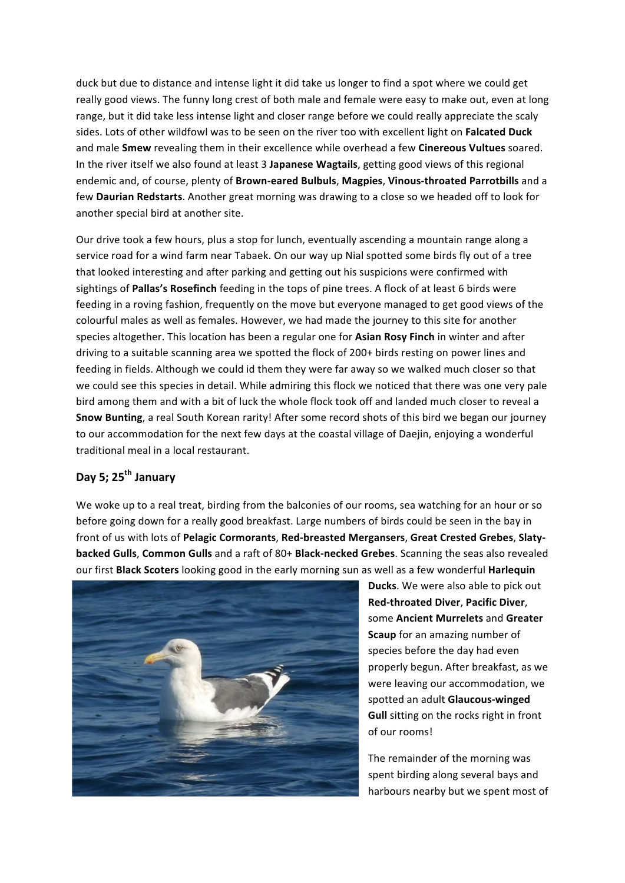duck but due to distance and intense light it did take us longer to find a spot where we could get really good views. The funny long crest of both male and female were easy to make out, even at long range, but it did take less intense light and closer range before we could really appreciate the scaly sides. Lots of other wildfowl was to be seen on the river too with excellent light on Falcated Duck and male Smew revealing them in their excellence while overhead a few Cinereous Vultues soared. In the river itself we also found at least 3 Japanese Wagtails, getting good views of this regional endemic and, of course, plenty of **Brown-eared Bulbuls**, Magpies, Vinous-throated Parrotbills and a few **Daurian Redstarts**. Another great morning was drawing to a close so we headed off to look for another special bird at another site.

Our drive took a few hours, plus a stop for lunch, eventually ascending a mountain range along a service road for a wind farm near Tabaek. On our way up Nial spotted some birds fly out of a tree that looked interesting and after parking and getting out his suspicions were confirmed with sightings of **Pallas's Rosefinch** feeding in the tops of pine trees. A flock of at least 6 birds were feeding in a roving fashion, frequently on the move but everyone managed to get good views of the colourful males as well as females. However, we had made the journey to this site for another species altogether. This location has been a regular one for Asian Rosy Finch in winter and after driving to a suitable scanning area we spotted the flock of 200+ birds resting on power lines and feeding in fields. Although we could id them they were far away so we walked much closer so that we could see this species in detail. While admiring this flock we noticed that there was one very pale bird among them and with a bit of luck the whole flock took off and landed much closer to reveal a Snow Bunting, a real South Korean rarity! After some record shots of this bird we began our journey to our accommodation for the next few days at the coastal village of Daejin, enjoying a wonderful traditional meal in a local restaurant.

# **Day&5;&25th January**

We woke up to a real treat, birding from the balconies of our rooms, sea watching for an hour or so before going down for a really good breakfast. Large numbers of birds could be seen in the bay in front of us with lots of Pelagic Cormorants, Red-breasted Mergansers, Great Crested Grebes, Slaty**backed Gulls, Common Gulls** and a raft of 80+ Black-necked Grebes. Scanning the seas also revealed our first **Black Scoters** looking good in the early morning sun as well as a few wonderful **Harlequin** 



**Ducks**. We were also able to pick out **Red-throated Diver, Pacific Diver,** some **Ancient Murrelets** and Greater **Scaup** for an amazing number of species before the day had even properly begun. After breakfast, as we were leaving our accommodation, we spotted an adult Glaucous-winged **Gull** sitting on the rocks right in front of our rooms!

The remainder of the morning was spent birding along several bays and harbours nearby but we spent most of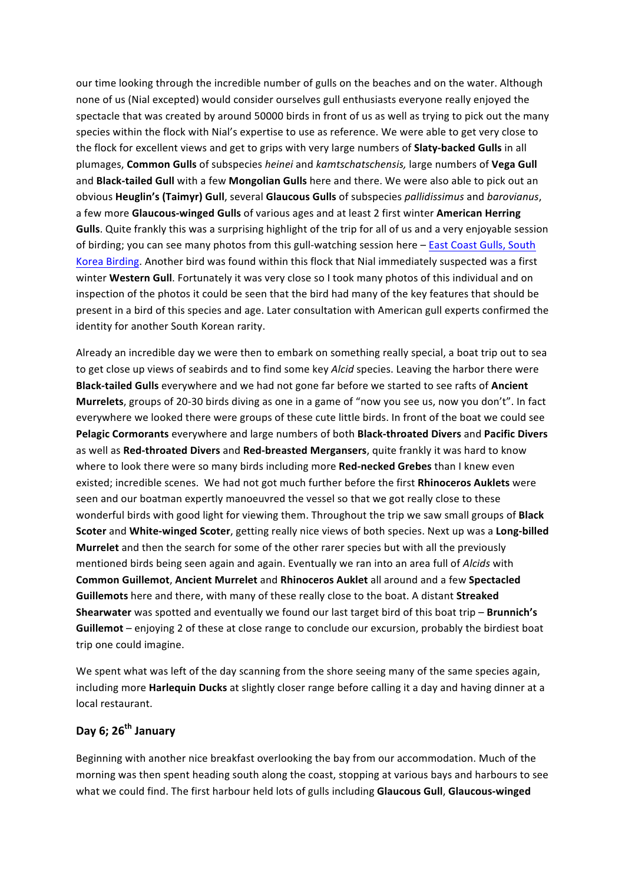our time looking through the incredible number of gulls on the beaches and on the water. Although none of us (Nial excepted) would consider ourselves gull enthusiasts everyone really enjoyed the spectacle that was created by around 50000 birds in front of us as well as trying to pick out the many species within the flock with Nial's expertise to use as reference. We were able to get very close to the flock for excellent views and get to grips with very large numbers of **Slaty-backed Gulls** in all plumages,'**Common&Gulls** of'subspecies'*heinei* and'*kamtschatschensis,0*large'numbers'of'**Vega&Gull** and **Black-tailed Gull** with a few Mongolian Gulls here and there. We were also able to pick out an obvious'**Heuglin's&(Taimyr)&Gull**,'several'**Glaucous&Gulls** of'subspecies'*pallidissimus* and'*barovianus*,' a few more Glaucous-winged Gulls of various ages and at least 2 first winter American Herring **Gulls**. Quite frankly this was a surprising highlight of the trip for all of us and a very enjoyable session of birding; you can see many photos from this gull-watching session here - East Coast Gulls, South Korea Birding. Another bird was found within this flock that Nial immediately suspected was a first winter Western Gull. Fortunately it was very close so I took many photos of this individual and on inspection of the photos it could be seen that the bird had many of the key features that should be present in a bird of this species and age. Later consultation with American gull experts confirmed the identity for another South Korean rarity.

Already an incredible day we were then to embark on something really special, a boat trip out to sea to get close up views of seabirds and to find some key *Alcid* species. Leaving the harbor there were **Black-tailed Gulls** everywhere and we had not gone far before we started to see rafts of Ancient **Murrelets**, groups of 20-30 birds diving as one in a game of "now you see us, now you don't". In fact everywhere we looked there were groups of these cute little birds. In front of the boat we could see **Pelagic&Cormorants** everywhere'and'large'numbers'of'both'**Black0throated Divers** and'**Pacific&Divers** as well as Red-throated Divers and Red-breasted Mergansers, quite frankly it was hard to know where to look there were so many birds including more **Red-necked Grebes** than I knew even existed; incredible scenes. We had not got much further before the first **Rhinoceros Auklets** were seen and our boatman expertly manoeuvred the vessel so that we got really close to these wonderful birds with good light for viewing them. Throughout the trip we saw small groups of **Black Scoter** and **White-winged Scoter**, getting really nice views of both species. Next up was a **Long-billed Murrelet** and then the search for some of the other rarer species but with all the previously mentioned birds being seen again and again. Eventually we ran into an area full of *Alcids* with **Common&Guillemot**,'**Ancient&Murrelet** and'**Rhinoceros&Auklet** all'around'and'a'few'**Spectacled& Guillemots** here and there, with many of these really close to the boat. A distant **Streaked Shearwater** was spotted and eventually we found our last target bird of this boat trip - **Brunnich's Guillemot** – enjoying 2 of these at close range to conclude our excursion, probably the birdiest boat trip one could imagine.

We spent what was left of the day scanning from the shore seeing many of the same species again, including more **Harlequin Ducks** at slightly closer range before calling it a day and having dinner at a local restaurant.

# **Day&6;&26th January**

Beginning with another nice breakfast overlooking the bay from our accommodation. Much of the morning was then spent heading south along the coast, stopping at various bays and harbours to see what we could find. The first harbour held lots of gulls including Glaucous Gull, Glaucous-winged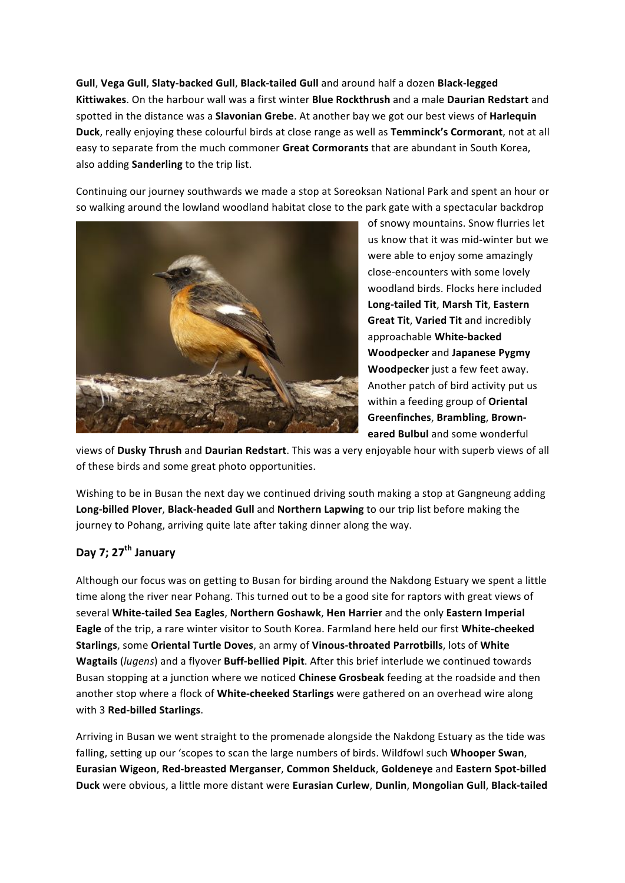Gull, Vega Gull, Slaty-backed Gull, Black-tailed Gull and around half a dozen Black-legged **Kittiwakes**.'On'the'harbour'wall'was'a'first'winter'**Blue&Rockthrush** and'a'male'**Daurian&Redstart** and' spotted in the distance was a **Slavonian Grebe**. At another bay we got our best views of **Harlequin Duck**, really enjoying these colourful birds at close range as well as **Temminck's Cormorant**, not at all easy to separate from the much commoner Great Cormorants that are abundant in South Korea, also adding **Sanderling** to the trip list.

Continuing our journey southwards we made a stop at Soreoksan National Park and spent an hour or so walking around the lowland woodland habitat close to the park gate with a spectacular backdrop



of snowy mountains. Snow flurries let us know that it was mid-winter but we were able to enjoy some amazingly close-encounters with some lovely woodland birds. Flocks here included **Long0tailed&Tit**,'**Marsh&Tit**,'**Eastern& Great Tit, Varied Tit** and incredibly approachable White-backed **Woodpecker** and **Japanese Pygmy Woodpecker** just a few feet away. Another patch of bird activity put us within a feeding group of Oriental **Greenfinches, Brambling, Browneared Bulbul** and some wonderful

views of Dusky Thrush and Daurian Redstart. This was a very enjoyable hour with superb views of all of these birds and some great photo opportunities.

Wishing to be in Busan the next day we continued driving south making a stop at Gangneung adding Long-billed Plover, Black-headed Gull and Northern Lapwing to our trip list before making the journey to Pohang, arriving quite late after taking dinner along the way.

# **Day&7;&27th January**

Although our focus was on getting to Busan for birding around the Nakdong Estuary we spent a little time along the river near Pohang. This turned out to be a good site for raptors with great views of several White-tailed Sea Eagles, Northern Goshawk, Hen Harrier and the only Eastern Imperial **Eagle** of the trip, a rare winter visitor to South Korea. Farmland here held our first White-cheeked **Starlings**, some Oriental Turtle Doves, an army of Vinous-throated Parrotbills, lots of White **Wagtails** (*lugens*) and a flyover **Buff-bellied Pipit**. After this brief interlude we continued towards Busan stopping at a junction where we noticed *Chinese Grosbeak* feeding at the roadside and then another stop where a flock of White-cheeked Starlings were gathered on an overhead wire along with 3 Red-billed Starlings.

Arriving in Busan we went straight to the promenade alongside the Nakdong Estuary as the tide was falling, setting up our 'scopes to scan the large numbers of birds. Wildfowl such **Whooper Swan**, **Eurasian Wigeon, Red-breasted Merganser, Common Shelduck, Goldeneye** and Eastern Spot-billed **Duck** were obvious, a little more distant were **Eurasian Curlew, Dunlin, Mongolian Gull, Black-tailed**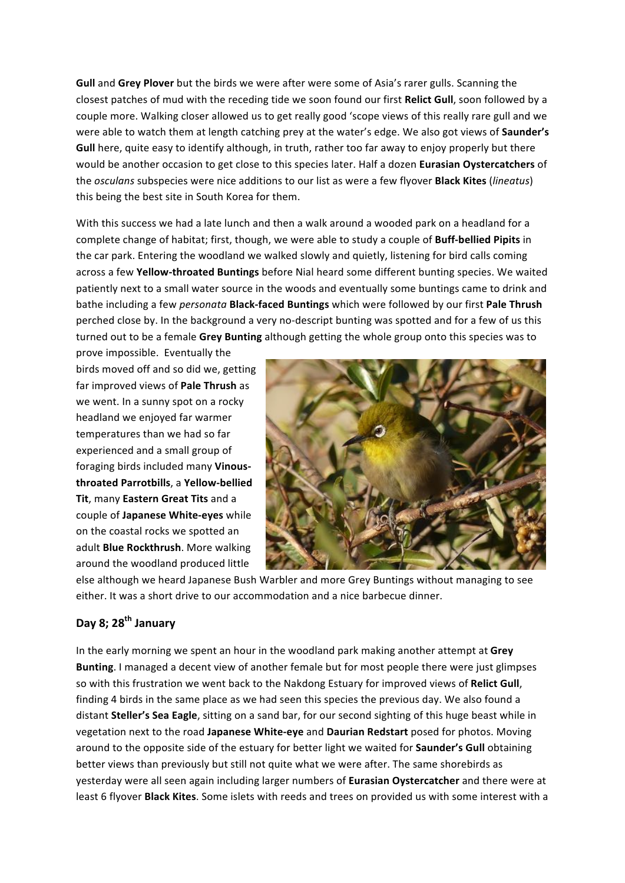Gull and Grey Plover but the birds we were after were some of Asia's rarer gulls. Scanning the closest patches of mud with the receding tide we soon found our first **Relict Gull**, soon followed by a couple more. Walking closer allowed us to get really good 'scope views of this really rare gull and we were able to watch them at length catching prey at the water's edge. We also got views of **Saunder's** Gull here, quite easy to identify although, in truth, rather too far away to enjoy properly but there would be another occasion to get close to this species later. Half a dozen **Eurasian Oystercatchers** of the'*osculans* subspecies'were'nice'additions'to'our'list'as'were'a'few'flyover'**Black&Kites** (*lineatus*)' this being the best site in South Korea for them.

With this success we had a late lunch and then a walk around a wooded park on a headland for a complete change of habitat; first, though, we were able to study a couple of **Buff-bellied Pipits** in the car park. Entering the woodland we walked slowly and quietly, listening for bird calls coming across a few Yellow-throated Buntings before Nial heard some different bunting species. We waited patiently next to a small water source in the woods and eventually some buntings came to drink and bathe including a few *personata* **Black-faced Buntings** which were followed by our first **Pale Thrush** perched close by. In the background a very no-descript bunting was spotted and for a few of us this turned out to be a female Grey Bunting although getting the whole group onto this species was to

prove impossible. Eventually the birds moved off and so did we, getting far improved views of **Pale Thrush** as we went. In a sunny spot on a rocky headland we enjoyed far warmer temperatures than we had so far experienced and a small group of foraging birds included many **Vinous**throated Parrotbills, a Yellow-bellied **Tit**, many **Eastern Great Tits** and a couple of **Japanese White-eyes** while on the coastal rocks we spotted an adult **Blue Rockthrush**. More walking around the woodland produced little



else although we heard Japanese Bush Warbler and more Grey Buntings without managing to see either. It was a short drive to our accommodation and a nice barbecue dinner.

# **Day&8;&28th January**

In the early morning we spent an hour in the woodland park making another attempt at Grey Bunting. I managed a decent view of another female but for most people there were just glimpses so with this frustration we went back to the Nakdong Estuary for improved views of Relict Gull, finding 4 birds in the same place as we had seen this species the previous day. We also found a distant Steller's Sea Eagle, sitting on a sand bar, for our second sighting of this huge beast while in vegetation next to the road Japanese White-eye and Daurian Redstart posed for photos. Moving around to the opposite side of the estuary for better light we waited for **Saunder's Gull** obtaining better views than previously but still not quite what we were after. The same shorebirds as yesterday were all seen again including larger numbers of **Eurasian Oystercatcher** and there were at least 6 flyover **Black Kites**. Some islets with reeds and trees on provided us with some interest with a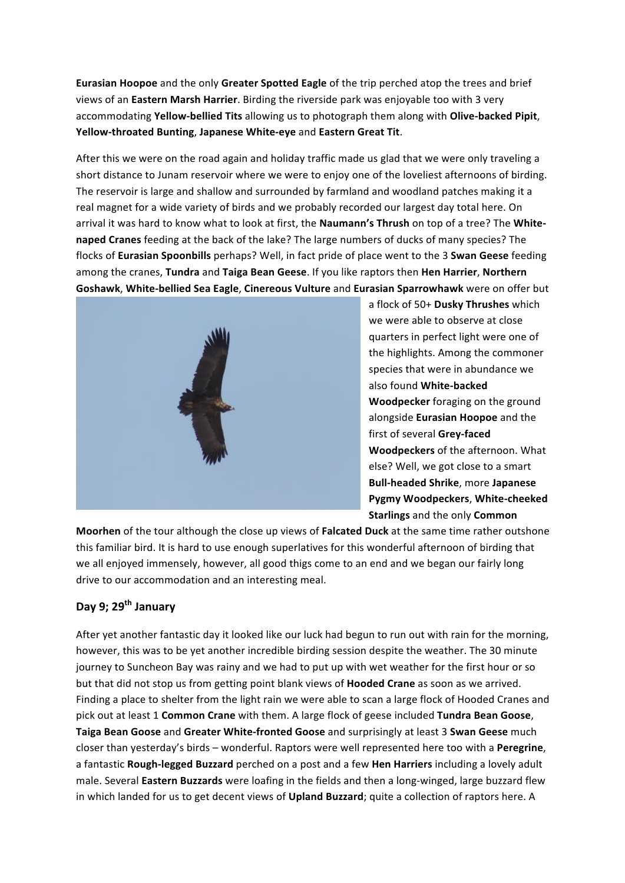**Eurasian Hoopoe** and the only Greater Spotted Eagle of the trip perched atop the trees and brief views of an Eastern Marsh Harrier. Birding the riverside park was enjoyable too with 3 very accommodating Yellow-bellied Tits allowing us to photograph them along with Olive-backed Pipit, Yellow-throated Bunting, Japanese White-eye and Eastern Great Tit.

After this we were on the road again and holiday traffic made us glad that we were only traveling a short distance to Junam reservoir where we were to enjoy one of the loveliest afternoons of birding. The reservoir is large and shallow and surrounded by farmland and woodland patches making it a real magnet for a wide variety of birds and we probably recorded our largest day total here. On arrival it was hard to know what to look at first, the Naumann's Thrush on top of a tree? The White**naped Cranes** feeding at the back of the lake? The large numbers of ducks of many species? The flocks of **Eurasian Spoonbills** perhaps? Well, in fact pride of place went to the 3 **Swan Geese** feeding among'the'cranes,'**Tundra** and'**Taiga&Bean&Geese**.'If'you'like'raptors'then'**Hen&Harrier**,'**Northern& Goshawk, White-bellied Sea Eagle, Cinereous Vulture and Eurasian Sparrowhawk were on offer but** 



a flock of 50+ Dusky Thrushes which we were able to observe at close quarters in perfect light were one of the highlights. Among the commoner species that were in abundance we also found **White-backed Woodpecker** foraging on the ground alongside **Eurasian Hoopoe** and the first of several Grey-faced **Woodpeckers** of the afternoon. What else? Well, we got close to a smart **Bull-headed Shrike**, more Japanese Pygmy Woodpeckers, White-cheeked **Starlings** and the only **Common** 

Moorhen of the tour although the close up views of **Falcated Duck** at the same time rather outshone this familiar bird. It is hard to use enough superlatives for this wonderful afternoon of birding that we all enjoyed immensely, however, all good thigs come to an end and we began our fairly long drive to our accommodation and an interesting meal.

# **Day&9;&29th January**

After yet another fantastic day it looked like our luck had begun to run out with rain for the morning, however, this was to be yet another incredible birding session despite the weather. The 30 minute journey to Suncheon Bay was rainy and we had to put up with wet weather for the first hour or so but that did not stop us from getting point blank views of **Hooded Crane** as soon as we arrived. Finding a place to shelter from the light rain we were able to scan a large flock of Hooded Cranes and pick out at least 1 Common Crane with them. A large flock of geese included Tundra Bean Goose, **Taiga Bean Goose** and Greater White-fronted Goose and surprisingly at least 3 Swan Geese much closer'than'yesterday's'birds'– wonderful.'Raptors'were'well'represented'here'too'with'a'**Peregrine**,' a fantastic Rough-legged Buzzard perched on a post and a few Hen Harriers including a lovely adult male. Several **Eastern Buzzards** were loafing in the fields and then a long-winged, large buzzard flew in which landed for us to get decent views of Upland Buzzard; quite a collection of raptors here. A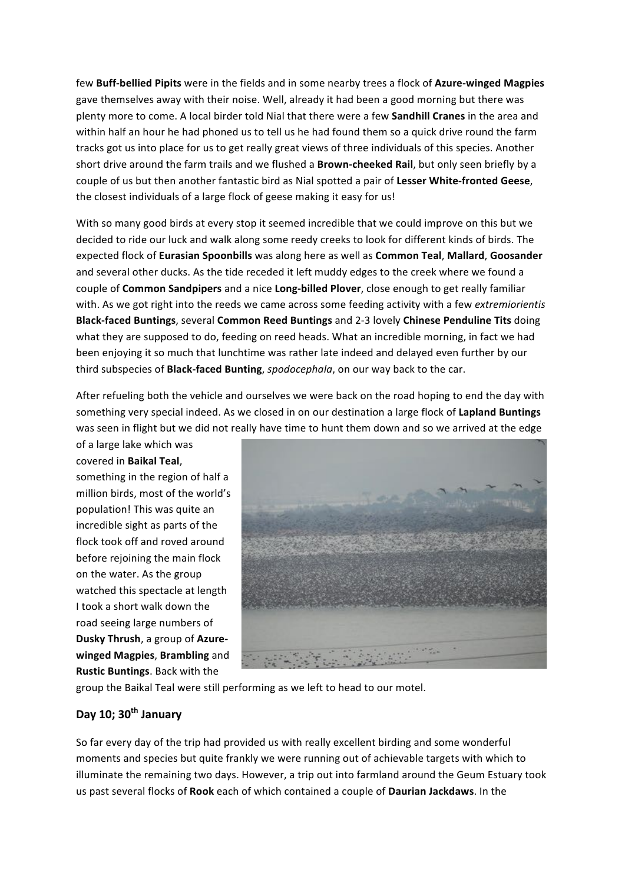few Buff-bellied Pipits were in the fields and in some nearby trees a flock of Azure-winged Magpies gave themselves away with their noise. Well, already it had been a good morning but there was plenty more to come. A local birder told Nial that there were a few **Sandhill Cranes** in the area and within'half an hour he had phoned us to tell us he had found them so a quick drive round the farm tracks got us into place for us to get really great views of three individuals of this species. Another short drive around the farm trails and we flushed a **Brown-cheeked Rail**, but only seen briefly by a couple of us but then another fantastic bird as Nial spotted a pair of Lesser White-fronted Geese, the closest individuals of a large flock of geese making it easy for us!

With so many good birds at every stop it seemed incredible that we could improve on this but we decided to ride our luck and walk along some reedy creeks to look for different kinds of birds. The expected'flock'of'**Eurasian&Spoonbills** was along'here'as'well'as'**Common&Teal**,'**Mallard**,'**Goosander&** and several other ducks. As the tide receded it left muddy edges to the creek where we found a couple of **Common Sandpipers** and a nice Long-billed Plover, close enough to get really familiar with. As we got right into the reeds we came across some feeding activity with a few *extremiorientis* **Black-faced Buntings**, several Common Reed Buntings and 2-3 lovely Chinese Penduline Tits doing what they are supposed to do, feeding on reed heads. What an incredible morning, in fact we had been enjoying it so much that lunchtime was rather late indeed and delayed even further by our third subspecies of **Black-faced Bunting**, *spodocephala*, on our way back to the car.

After refueling both the vehicle and ourselves we were back on the road hoping to end the day with something very special indeed. As we closed in on our destination a large flock of Lapland Buntings was seen in flight but we did not really have time to hunt them down and so we arrived at the edge

of a large lake which was covered in **Baikal Teal**, something in the region of half a million birds, most of the world's population! This was quite an incredible sight as parts of the flock took off and roved around before rejoining the main flock on the water. As the group watched this spectacle at length I took a short walk down the road seeing large numbers of **Dusky Thrush**, a group of Azure**winged Magpies, Brambling** and **Rustic Buntings**. Back with the



group the Baikal Teal were still performing as we left to head to our motel.

# **Day&10;&30th January**

So far every day of the trip had provided us with really excellent birding and some wonderful moments and species but quite frankly we were running out of achievable targets with which to illuminate the remaining two days. However, a trip out into farmland around the Geum Estuary took us'past'several'flocks'of'**Rook** each'of'which'contained'a'couple'of'**Daurian&Jackdaws**.'In'the'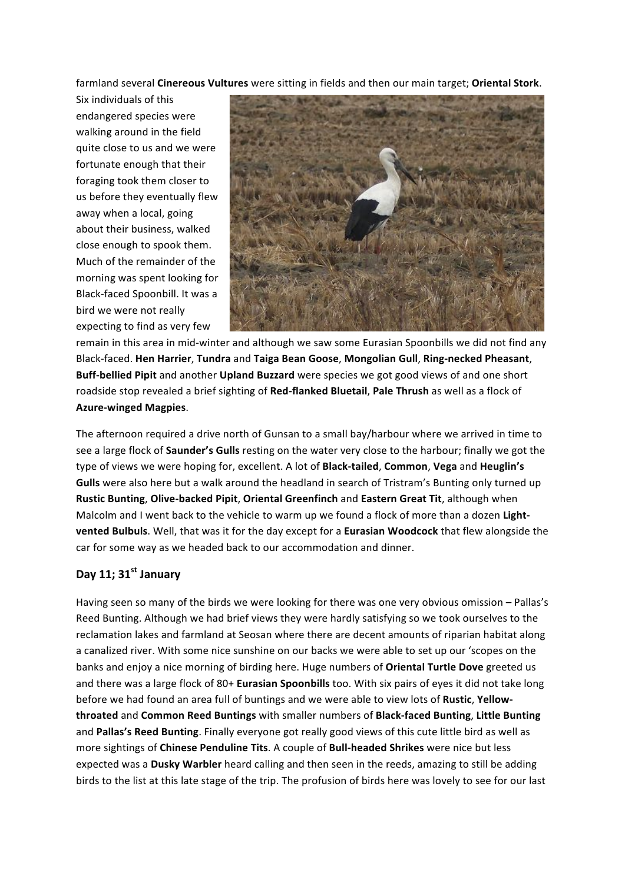farmland'several'**Cinereous&Vultures** were'sitting'in'fields'and'then'our'main'target;'**Oriental&Stork**.'

Six individuals of this endangered species were walking around in the field quite close to us and we were fortunate enough that their foraging took them closer to us before they eventually flew away when a local, going about their business, walked close enough to spook them. Much of the remainder of the morning was spent looking for Black-faced Spoonbill. It was a bird we were not really expecting to find as very few



remain in this area in mid-winter and although we saw some Eurasian Spoonbills we did not find any Black-faced. Hen Harrier, Tundra and Taiga Bean Goose, Mongolian Gull, Ring-necked Pheasant, **Buff-bellied Pipit** and another **Upland Buzzard** were species we got good views of and one short roadside stop revealed a brief sighting of Red-flanked Bluetail, Pale Thrush as well as a flock of **Azure-winged Magpies.** 

The afternoon required a drive north of Gunsan to a small bay/harbour where we arrived in time to see a large flock of **Saunder's Gulls** resting on the water very close to the harbour; finally we got the type of views we were hoping for, excellent. A lot of **Black-tailed, Common, Vega** and Heuglin's **Gulls** were also here but a walk around the headland in search of Tristram's Bunting only turned up Rustic Bunting, Olive-backed Pipit, Oriental Greenfinch and Eastern Great Tit, although when Malcolm and I went back to the vehicle to warm up we found a flock of more than a dozen Light**vented Bulbuls**. Well, that was it for the day except for a **Eurasian Woodcock** that flew alongside the car for some way as we headed back to our accommodation and dinner.

# **Day&11;&31st January**

Having seen so many of the birds we were looking for there was one very obvious omission – Pallas's Reed Bunting. Although we had brief views they were hardly satisfying so we took ourselves to the reclamation lakes and farmland at Seosan where there are decent amounts of riparian habitat along a canalized river. With some nice sunshine on our backs we were able to set up our 'scopes on the banks and enjoy a nice morning of birding here. Huge numbers of Oriental Turtle Dove greeted us and there was a large flock of 80+ **Eurasian Spoonbills** too. With six pairs of eyes it did not take long before we had found an area full of buntings and we were able to view lots of Rustic, Yellow**throated** and'**Common&Reed&Buntings** with'smaller'numbers'of'**Black0faced&Bunting**,'**Little&Bunting** and Pallas's Reed Bunting. Finally everyone got really good views of this cute little bird as well as more sightings of Chinese Penduline Tits. A couple of **Bull-headed Shrikes** were nice but less expected was a **Dusky Warbler** heard calling and then seen in the reeds, amazing to still be adding birds to the list at this late stage of the trip. The profusion of birds here was lovely to see for our last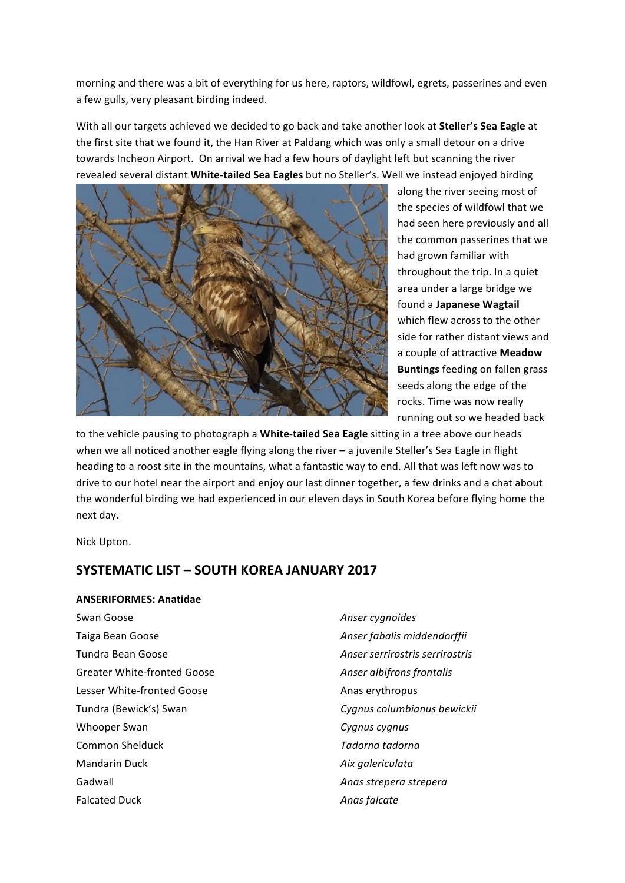morning and there was a bit of everything for us here, raptors, wildfowl, egrets, passerines and even a few gulls, very pleasant birding indeed.

With all our targets achieved we decided to go back and take another look at **Steller's Sea Eagle** at the first site that we found it, the Han River at Paldang which was only a small detour on a drive towards Incheon Airport. On arrival we had a few hours of daylight left but scanning the river revealed several distant White-tailed Sea Eagles but no Steller's. Well we instead enjoyed birding



along the river seeing most of the species of wildfowl that we had seen here previously and all the common passerines that we had grown familiar with throughout the trip. In a quiet area under a large bridge we found a **Japanese Wagtail** which flew across to the other side for rather distant views and a couple of attractive Meadow **Buntings** feeding on fallen grass seeds along the edge of the rocks. Time was now really running out so we headed back

to the vehicle pausing to photograph a White-tailed Sea Eagle sitting in a tree above our heads when we all noticed another eagle flying along the river – a juvenile Steller's Sea Eagle in flight heading to a roost site in the mountains, what a fantastic way to end. All that was left now was to drive to our hotel near the airport and enjoy our last dinner together, a few drinks and a chat about the wonderful birding we had experienced in our eleven days in South Korea before flying home the next day.

Nick'Upton.

# **SYSTEMATIC LIST - SOUTH KOREA JANUARY 2017**

#### **ANSERIFORMES: Anatidae**

Swan Goose *Anser cygnoides* **Anser Cygnoides** Taiga Bean Goose *Anser fabalis middendorffii* Tundra Bean Goose *Anser serrirostris serrirostris* Greater White-fronted Goose **Anser albifrons frontalis** *Anser albifrons frontalis* Lesser White-fronted Goose Anas erythropus Tundra (Bewick's) Swan *Cygnus columbianus bewickii* Whooper Swan *Cygnus cygnus* **Common Shelduck**  Tadorna tadorna Mandarin Duck **Aix** galericulata Gadwall **Anas** strepera strepera

Falcated Duck **Anas** falcate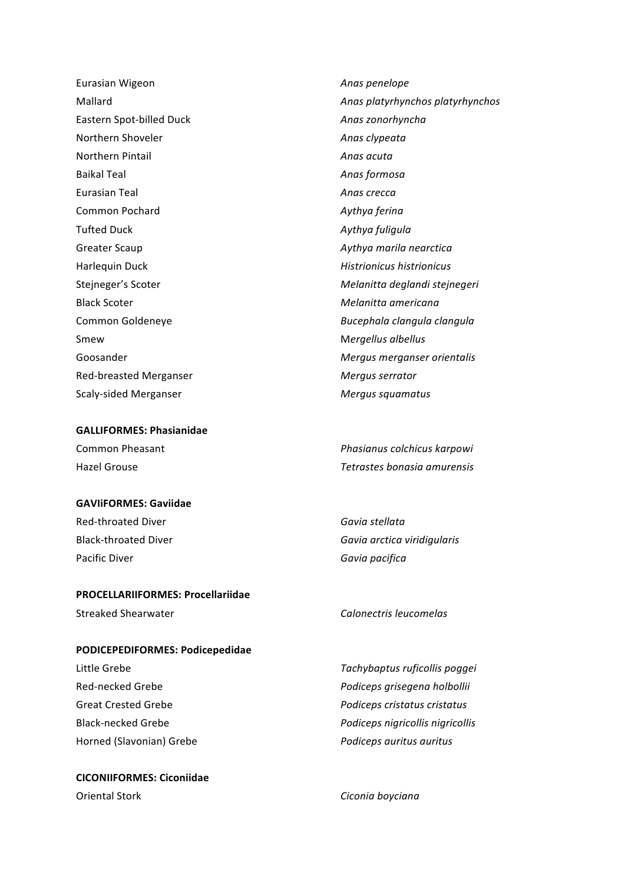Eurasian Wigeon **Anas** *Anas penelope* Eastern Spot-billed Duck **Anaszonorhyncha** Northern Shoveler **Anas** clypeata Northern Pintail **Anas** acuta Baikal Teal **Anas** formosa Eurasian Teal **Anas** *Crecca* **Anas** *Crecca* **Anas** *Crecca* Common Pochard **Aythya** ferina Tufted Duck *Aythya fuliqula* Greater Scaup *Aythya marila nearctica* Harlequin Duck **Histrionicus** *Histrionicus histrionicus* Black Scoter *Melanitta americana* Smew **Mergellus** albellus Red-breasted Merganser *Mergus serrator* Scaly-sided Merganser *Mergus squamatus* 

#### **GALLIFORMES: Phasianidae**

#### **GAVIiFORMES:&Gaviidae**

Red-throated Diver **Gavia** Stellata Pacific Diver **Carried Contract Contract Carried Cavia** pacifica

## **PROCELLARIIFORMES: Procellariidae**

## **PODICEPEDIFORMES: Podicepedidae**

Horned (Slavonian) Grebe *Podiceps auritus auritus* 

# **CICONIIFORMES: Ciconiidae** Oriental Stork **Ciconia** boyciana

Mallard *Anas platyrhynchos platyrhynchos* Stejneger's Scoter *Melanitta deglandi stejnegeri* Common Goldeneye *Bucephala clangula clangula* Goosander **Mergus** *Mergus merganser orientalis Mergus merganser orientalis* 

Common Pheasant *Phasianus colchicus karpowi* Hazel'Grouse *Tetrastes0bonasia0amurensis*

Black-throated Diver **Gavia** Gavia arctica viridigularis

## Streaked Shearwater *Calonectris leucomelas*

Little Grebe *Tachybaptus ruficollis poggei* Red-necked Grebe *Podiceps grisegena holbollii* Great Crested Grebe *Podiceps cristatus cristatus* Black-necked Grebe *Podiceps nigricollis nigricollis*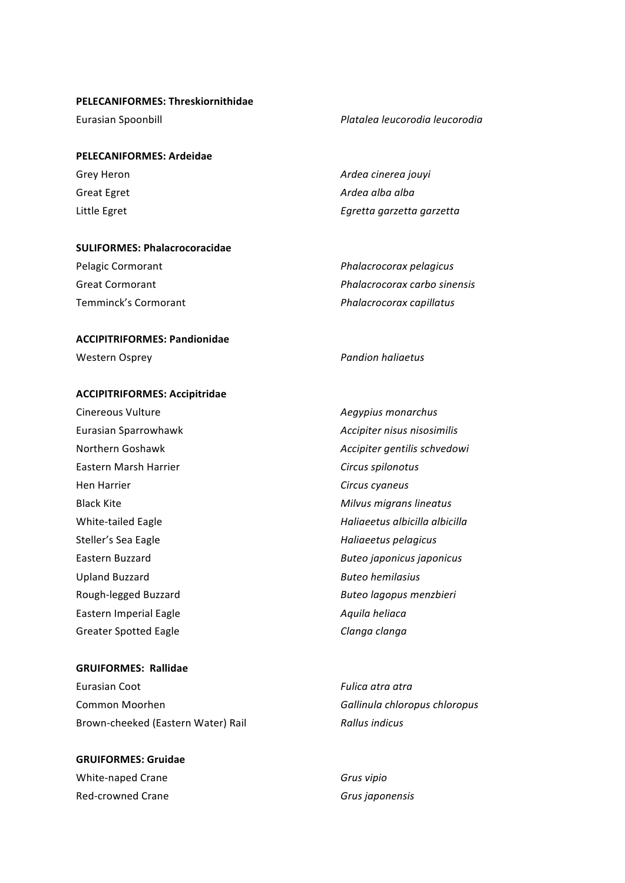## **PELECANIFORMES: Threskiornithidae**

## **PELECANIFORMES: Ardeidae**

## **SULIFORMES: Phalacrocoracidae**

| Pelagic Cormorant    | Phalacrocorax pelagicus      |
|----------------------|------------------------------|
| Great Cormorant      | Phalacrocorax carbo sinensis |
| Temminck's Cormorant | Phalacrocorax capillatus     |

## **ACCIPITRIFORMES: Pandionidae**

Western Osprey *Pandion haliaetus Pandion haliaetus* 

#### **ACCIPITRIFORMES:&Accipitridae**

Cinereous Vulture **Aegypius** monarchus Eurasian Sparrowhawk *Accipiter nisus nisosimilis* Eastern Marsh Harrier **Circus** spilonotus Hen Harrier *Circus cyaneus* Black Kite *Milvus migrans lineatus* Steller's Sea Eagle **Haliaeetus** *Haliaeetus pelagicus* Upland Buzzard **Buteo** hemilasius Rough-legged Buzzard **Butes Buteo** *Buteo lagopus menzbieri* Eastern Imperial Eagle **Access 2018** Aquila heliaca Greater Spotted Eagle **Clanga** Clanga clanga

#### **GRUIFORMES: Rallidae**

Eurasian Coot **Fulica** atra $I$ ran'ilaa ku maana atra-Common Moorhen **Gallinula** chloropus chloropus Brown-cheeked (Eastern Water) Rail **Rail Rallus** indicus

# **GRUIFORMES:&Gruidae** White-naped Crane **Grusding Crane** *Grus vipio* Red-crowned Crane *Grussen Crussen Crussen Crussen Crussen* Grussen

Northern Goshawk *Accipiter gentilis schvedowi* White-tailed Eagle **Mathematics** *Haliaeetus albicilla albicilla* Eastern Buzzard **Buteo** *Buteo japonicus japonicus* 

Eurasian Spoonbill *Platalea leucorodia leucorodia* 

Grey Heron *Ardea cinerea jouyi Ardea cinerea jouyi* Great Egret **Ardea** alba alba Little Egret *Egretta garzetta*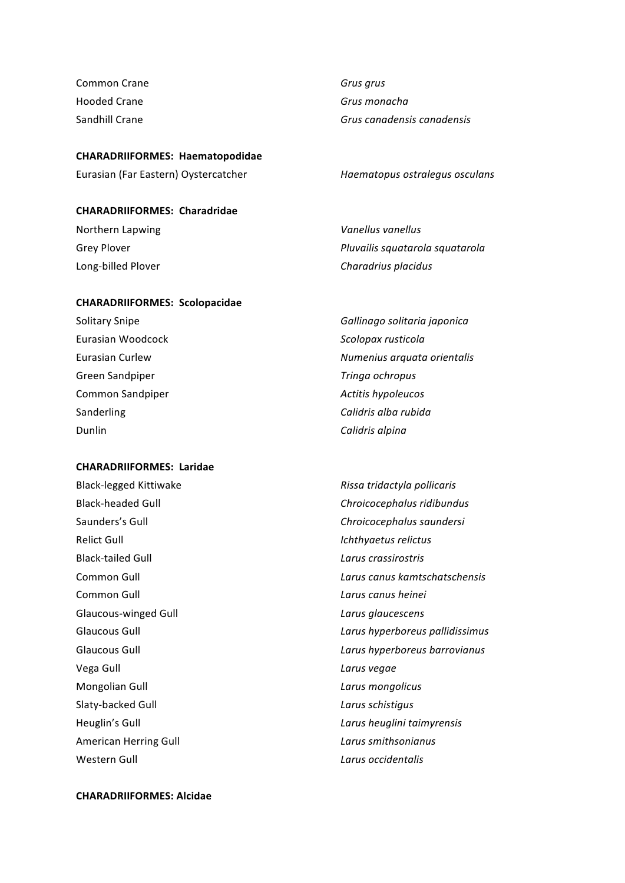**Common Crane Gruss**  $G$ rus  $G$ rus  $G$ rus  $G$ rus Hooded Crane **Grussell Crane** *Grus monacha* 

#### **CHARADRIIFORMES: Haematopodidae**

Eurasian (Far Eastern) Oystercatcher *Haematopus ostralegus osculans* 

#### **CHARADRIIFORMES: Charadridae**

Northern Lapwing **Vanellus** Vanellus vanellus

#### **CHARADRIIFORMES: Scolopacidae**

Eurasian Woodcock **Scolopax** rusticola Green Sandpiper *Tringa ochropus* Common Sandpiper *Actitis hypoleucos Actitis hypoleucos* Sanderling **Calidris** alba rubida Dunlin *Calidris alpina* 

#### **CHARADRIIFORMES: Laridae**

Black-legged Kittiwake *Rissa tridactyla pollicaris Rissa tridactyla pollicaris* Saunders's Gull **Chroicocephalus saundersi** Relict Gull **Ichthyaetus** relictus **Black-tailed Gull** *Larus crassirostris* **Common Gull** *Larus canus heinei Larus canus heinei* Glaucous-winged Gull **Community Larus** *Larus glaucescens* Vega Gull **Vega** Cull **Canadian Control Culture Control Culture Culture Culture Culture Culture Culture Culture Culture Culture Culture Culture Culture Culture Culture Culture Culture Culture Culture Culture Culture Cultur** Mongolian Gull<sup>'</sup> **Mongolicus** *Larus mongolicus* Slaty-backed Gull **Call 2008** Carrier Carrier Larus schistigus Heuglin's Gull *Larus heuglini taimyrensis* American Herring Gull **American** Herring Gull **Larus** smithsonianus Western Gull **Contract Contract Contract Contract Contract Contract Contract Contract Contract Contract Contract Contract Contract Contract Contract Contract Contract Contract Contract Contract Contract Contract Contract C** 

Sandhill Crane **Grussell Crane** *Grus canadensis canadensis* 

Grey Plover *Pluvailis squatarola squatarola* Long-billed Plover **Charadrius** *Charadrius placidus* 

Solitary Snipe **Gallinago** solitaria japonica Eurasian Curlew *Numenius arquata orientalis* 

Black-headed Gull **Chroicocephalus** ridibundus Common Gull **Common's Common Gull Common Gull Common Common Common Common Common Common Common Common Common Common Common Common Common Common Common Common Common Common Common Common Common Common Common Common Common C** Glaucous Gull **Communist Communist Communist Communist Communist Communist Communist Communist Communist Communist Communist Communist Communist Communist Communist Communist Communist Communist Communist Communist Communi** Glaucous Gull **Community Community Community Community** Larus hyperboreus barrovianus

#### **CHARADRIIFORMES:&Alcidae**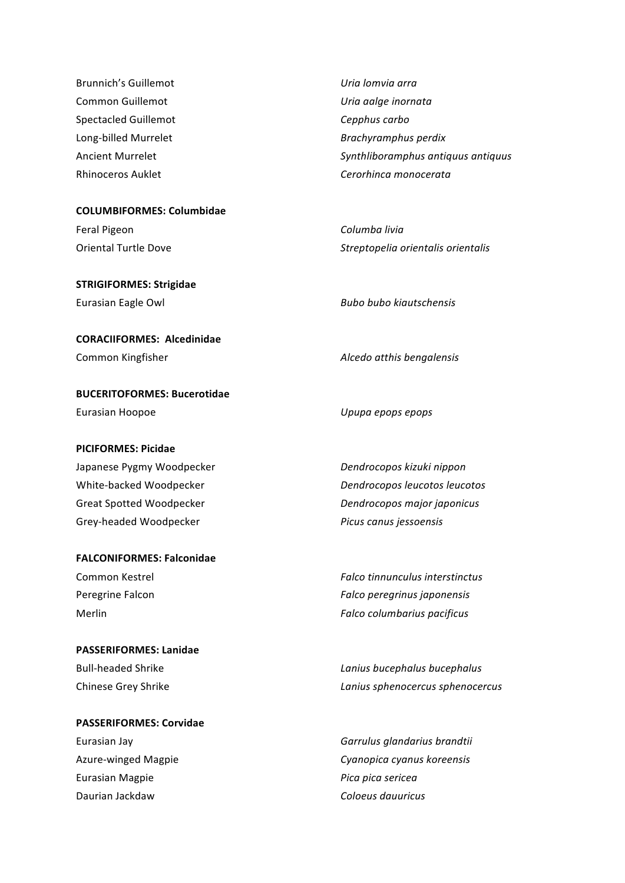| <b>Brunnich's Guillemot</b> | Uria lomvia arra                   |
|-----------------------------|------------------------------------|
| Common Guillemot            | Uria aalge inornata                |
| Spectacled Guillemot        | Cepphus carbo                      |
| Long-billed Murrelet        | Brachyramphus perdix               |
| Ancient Murrelet            | Synthliboramphus antiquus antiquus |
| Rhinoceros Auklet           | Cerorhinca monocerata              |

**COLUMBIFORMES: Columbidae** 

Feral Pigeon **Columba** livia

**STRIGIFORMES: Strigidae** Eurasian Eagle Owl **Bubo** Bubo bubo kiautschensis

**CORACIIFORMES: Alcedinidae** 

**BUCERITOFORMES: Bucerotidae** Eurasian Hoopoe *Upupa epops epops* 

## **PICIFORMES: Picidae**

Japanese Pygmy Woodpecker **Dendrocopos** kizuki nippon Grey-headed Woodpecker *Picus canus jessoensis* 

**FALCONIFORMES: Falconidae** 

**PASSERIFORMES: Lanidae** 

**PASSERIFORMES: Corvidae** Eurasian Magpie *Pica pica sericea* Daurian Jackdaw **Coloeus** dauuricus

Oriental Turtle Dove *Streptopelia orientalis orientalis* 

Common Kingfisher *Alcedo atthis bengalensis* 

White-backed Woodpecker **business and Dendrocopos leucotos** leucotos Great Spotted Woodpecker **Dendrocopos** *Dendrocopos major japonicus* 

Common Kestrel **Falco** *Falco tinnunculus interstinctus* Peregrine Falcon **Falcon Falcon** *Falco peregrinus japonensis* Merlin *Falco columbarius pacificus* 

Bull-headed Shrike *Lanius bucephalus Lanius bucephalus* Chinese Grey Shrike *Lanius sphenocercus sphenocercus* 

Eurasian Jay **Garrulus** *Garrulus qlandarius brandtii* Azure-winged Magpie *Cyanopica cyanus koreensis*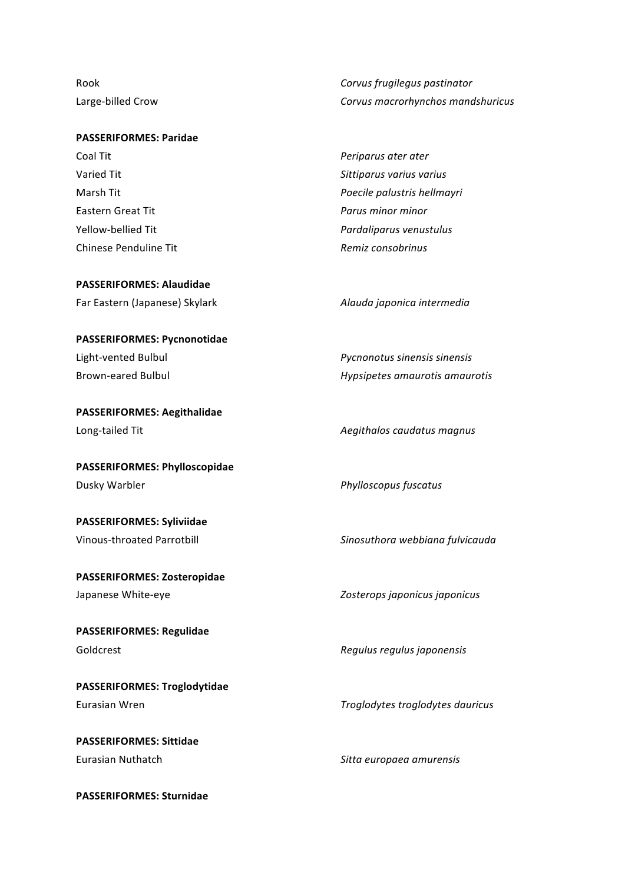Rook *Corvus frugilegus pastinator* Large-billed Crow **Corvus** macrorhynchos mandshuricus

| <b>PASSERIFORMES: Paridae</b> |                             |
|-------------------------------|-----------------------------|
| Coal Tit                      | Periparus ater ater         |
| Varied Tit                    | Sittiparus varius varius    |
| Marsh Tit                     | Poecile palustris hellmayri |
| Eastern Great Tit             | Parus minor minor           |
| Yellow-bellied Tit            | Pardaliparus venustulus     |
| Chinese Penduline Tit         | Remiz consobrinus           |

## **PASSERIFORMES: Alaudidae**

Far Eastern (Japanese) Skylark *Alauda japonica intermedia* 

## **PASSERIFORMES: Pycnonotidae**

**PASSERIFORMES: Aegithalidae** Long-tailed Tit **Austin Construction Construction** Aegithalos caudatus magnus

**PASSERIFORMES: Phylloscopidae** Dusky Warbler *Phylloscopus fuscatus* 

**PASSERIFORMES: Syliviidae** 

PASSERIFORMES: Zosteropidae

**PASSERIFORMES: Regulidae** Goldcrest **Goldcrest** *Regulus regulus japonensis* 

**PASSERIFORMES: Troglodytidae** 

**PASSERIFORMES: Sittidae** Eurasian Nuthatch **Sitta** europaea amurensis

**PASSERIFORMES: Sturnidae** 

Light-vented Bulbul *Pycnonotus sinensis Pycnonotus sinensis* Brown-eared Bulbul **Brown-eared Bulbul Hypsipetes** amaurotis amaurotis

Vinous-throated Parrotbill **Mateursity in the Sinosuthora webbiana fulvicauda** 

Japanese White-eye *Zosterops japonicus Zosterops japonicus* 

Eurasian Wren *Troglodytes troglodytes dauricus*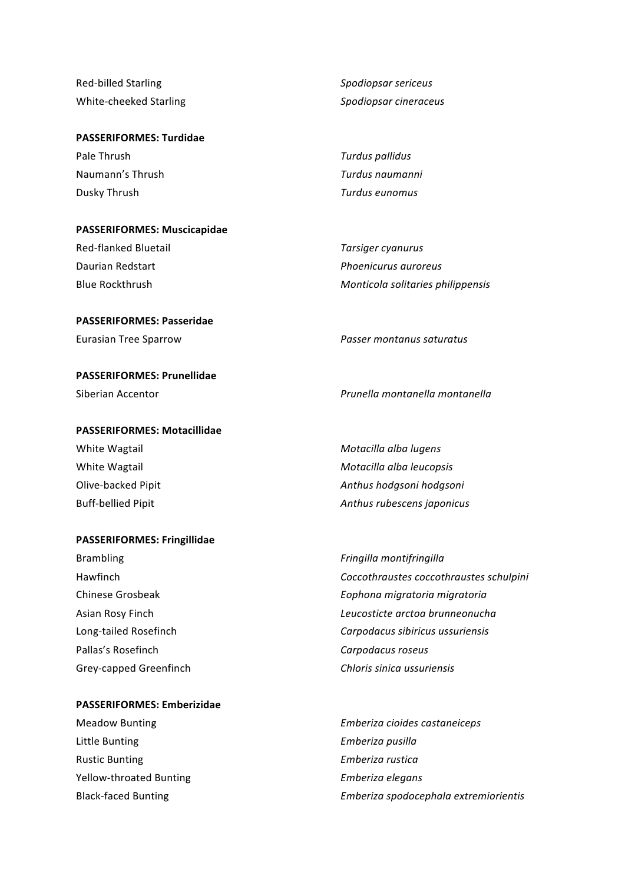| Red-billed Starling    |
|------------------------|
| White-cheeked Starling |

#### **PASSERIFORMES: Turdidae**

| Pale Thrush      | Turdus pallidus |
|------------------|-----------------|
| Naumann's Thrush | Turdus naumanni |
| Dusky Thrush     | Turdus eunomus  |

**PASSERIFORMES: Muscicapidae** 

Red-flanked Bluetail *Tarsiger cyanurus* Daurian Redstart *Phoenicurus auroreus Phoenicurus auroreus* 

#### **PASSERIFORMES: Passeridae**

**PASSERIFORMES: Prunellidae** 

## **PASSERIFORMES: Motacillidae**

#### **PASSERIFORMES: Fringillidae**

Brambling *Fringilla montifringilla* Pallas's Rosefinch **Carpodacus** roseus

## **PASSERIFORMES: Emberizidae**

Little Bunting **Emberiza** pusilla Rustic Bunting *Emberiza rustica* Yellow-throated Bunting *Emberiza elegans* 

RedIbilled'Starling *Spodiopsar0sericeus* WhiteIcheeked'Starling *Spodiopsar0cineraceus*

Blue Rockthrush **Monticola** solitaries philippensis

Eurasian Tree Sparrow *Passer montanus saturatus* 

Siberian Accentor *Prunella montanella montanella* 

White Wagtail **Motacilla** alba lugens White Wagtail **Motacilla** alba leucopsis **Motacilla** alba leucopsis Olive-backed Pipit *Anthus hodgsoni Anthus hodgsoni* Buff-bellied Pipit *Anthus rubescens japonicus* 

Hawfinch **Coccothraustes** coccothraustes schulpini **Chinese Grosbeak** *Eophona migratoria migratoria* Asian Rosy Finch *Leucosticte arctoa brunneonucha* Long-tailed Rosefinch **Carpodacus** *Carpodacus sibiricus ussuriensis* Grey-capped Greenfinch **Chloris** *Chloris sinica ussuriensis* 

Meadow Bunting *Emberiza cioides castaneiceps* Black-faced Bunting **Emberiza** spodocephala extremiorientis